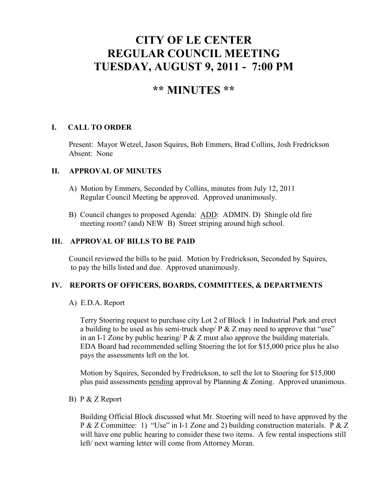# **CITY OF LE CENTER REGULAR COUNCIL MEETING TUESDAY, AUGUST 9, 2011 - 7:00 PM**

# **\*\* MINUTES \*\***

# **I. CALL TO ORDER**

Present: Mayor Wetzel, Jason Squires, Bob Emmers, Brad Collins, Josh Fredrickson Absent: None

#### **II. APPROVAL OF MINUTES**

- A) Motion by Emmers, Seconded by Collins, minutes from July 12, 2011 Regular Council Meeting be approved. Approved unanimously.
- B) Council changes to proposed Agenda: ADD: ADMIN. D) Shingle old fire meeting room? (and) NEW B) Street striping around high school.

# **III. APPROVAL OF BILLS TO BE PAID**

Council reviewed the bills to be paid. Motion by Fredrickson, Seconded by Squires, to pay the bills listed and due. Approved unanimously.

# **IV. REPORTS OF OFFICERS, BOARDS, COMMITTEES, & DEPARTMENTS**

A) E.D.A. Report

 Terry Stoering request to purchase city Lot 2 of Block 1 in Industrial Park and erect a building to be used as his semi-truck shop/  $P \& Z$  may need to approve that "use" in an I-1 Zone by public hearing/  $P \& Z$  must also approve the building materials. EDA Board had recommended selling Stoering the lot for \$15,000 price plus he also pays the assessments left on the lot.

 Motion by Squires, Seconded by Fredrickson, to sell the lot to Stoering for \$15,000 plus paid assessments pending approval by Planning & Zoning. Approved unanimous.

B) P & Z Report

 Building Official Block discussed what Mr. Stoering will need to have approved by the P & Z Committee: 1) "Use" in I-1 Zone and 2) building construction materials. P & Z will have one public hearing to consider these two items. A few rental inspections still left/ next warning letter will come from Attorney Moran.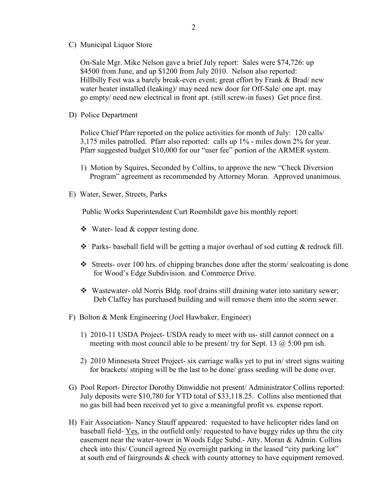C) Municipal Liquor Store

On-Sale Mgr. Mike Nelson gave a brief July report: Sales were \$74,726: up \$4500 from June, and up \$1200 from July 2010. Nelson also reported: Hillbilly Fest was a barely break-even event; great effort by Frank & Brad/ new water heater installed (leaking)/ may need new door for Off-Sale/ one apt. may go empty/ need new electrical in front apt. (still screw-in fuses) Get price first.

D) Police Department

Police Chief Pfarr reported on the police activities for month of July: 120 calls/ 3,175 miles patrolled. Pfarr also reported: calls up 1% - miles down 2% for year. Pfarr suggested budget \$10,000 for our "user fee" portion of the ARMER system.

- 1) Motion by Squires, Seconded by Collins, to approve the new "Check Diversion Program" agreement as recommended by Attorney Moran. Approved unanimous.
- E) Water, Sewer, Streets, Parks

Public Works Superintendent Curt Roemhildt gave his monthly report:

- $\triangleleft$  Water- lead & copper testing done.
- $\triangle$  Parks- baseball field will be getting a major overhaul of sod cutting & redrock fill.
- $\cdot$  Streets- over 100 hrs. of chipping branches done after the storm/ sealcoating is done for Wood's Edge Subdivision. and Commerce Drive.
- Wastewater- old Norris Bldg. roof drains still draining water into sanitary sewer; Deb Claffey has purchased building and will remove them into the storm sewer.
- F) Bolton & Menk Engineering (Joel Hawbaker, Engineer)
	- 1) 2010-11 USDA Project- USDA ready to meet with us- still cannot connect on a meeting with most council able to be present/ try for Sept. 13  $\omega$  5:00 pm ish.
	- 2) 2010 Minnesota Street Project- six carriage walks yet to put in/ street signs waiting for brackets/ striping will be the last to be done/ grass seeding will be done over.
- G) Pool Report- Director Dorothy Dinwiddie not present/ Administrator Collins reported: July deposits were \$10,780 for YTD total of \$33,118.25. Collins also mentioned that no gas bill had been received yet to give a meaningful profit vs. expense report.
- H) Fair Association- Nancy Stauff appeared: requested to have helicopter rides land on baseball field- Yes, in the outfield only/ requested to have buggy rides up thru the city easement near the water-tower in Woods Edge Subd.- Atty. Moran & Admin. Collins check into this/ Council agreed No overnight parking in the leased "city parking lot" at south end of fairgrounds & check with county attorney to have equipment removed.